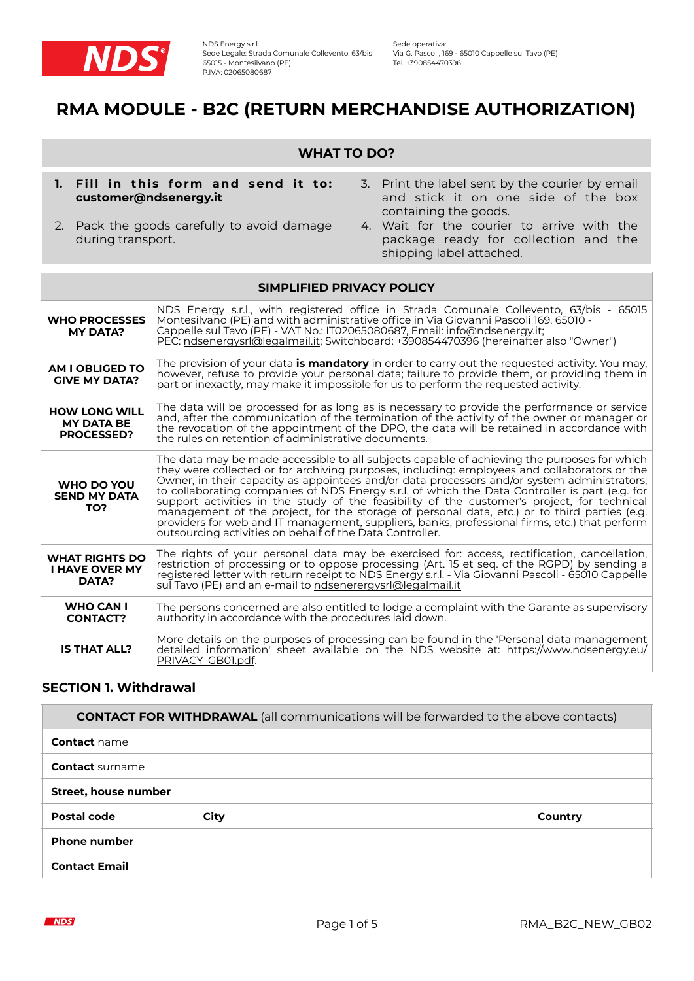

# **RMA MODULE - B2C (RETURN MERCHANDISE AUTHORIZATION)**

# **WHAT TO DO?**

- **1. Fill in this form and send it to: customer@ndsenergy.it**
- 2. Pack the goods carefully to avoid damage during transport.
- 3. Print the label sent by the courier by email and stick it on one side of the box containing the goods.
- 4. Wait for the courier to arrive with the package ready for collection and the shipping label attached.

| SIMPLIFIED PRIVACY POLICY                                                                                                                                                                                                     |                                                                                                                                                                                                                                                                                                                                                                                                                                                                                                                                                                                                                                                                                                                                                          |  |  |
|-------------------------------------------------------------------------------------------------------------------------------------------------------------------------------------------------------------------------------|----------------------------------------------------------------------------------------------------------------------------------------------------------------------------------------------------------------------------------------------------------------------------------------------------------------------------------------------------------------------------------------------------------------------------------------------------------------------------------------------------------------------------------------------------------------------------------------------------------------------------------------------------------------------------------------------------------------------------------------------------------|--|--|
| <b>WHO PROCESSES</b><br><b>MY DATA?</b>                                                                                                                                                                                       | NDS Energy s.r.l., with registered office in Strada Comunale Collevento, 63/bis - 65015<br>Montesilvano (PE) and with administrative office in Via Giovanni Pascoli 169, 65010 -<br>Cappelle sul Tavo (PE) - VAT No.: IT02065080687, Email: info@ndsenergy.it;<br>PEC: ndsenergysrl@legalmail.it; Switchboard: +390854470396 (hereinafter also "Owner")                                                                                                                                                                                                                                                                                                                                                                                                  |  |  |
| AM I OBLIGED TO<br><b>GIVE MY DATA?</b>                                                                                                                                                                                       | The provision of your data <b>is mandatory</b> in order to carry out the requested activity. You may,<br>however, refuse to provide your personal data; failure to provide them, or providing them in<br>part or inexactly, may make it impossible for us to perform the requested activity.                                                                                                                                                                                                                                                                                                                                                                                                                                                             |  |  |
| <b>HOW LONG WILL</b><br><b>MY DATA BE</b><br><b>PROCESSED?</b>                                                                                                                                                                | The data will be processed for as long as is necessary to provide the performance or service<br>and, after the communication of the termination of the activity of the owner or manager or<br>the revocation of the appointment of the DPO, the data will be retained in accordance with<br>the rules on retention of administrative documents.                                                                                                                                                                                                                                                                                                                                                                                                          |  |  |
| WHO DO YOU<br><b>SEND MY DATA</b><br>TO?                                                                                                                                                                                      | The data may be made accessible to all subjects capable of achieving the purposes for which<br>they were collected or for archiving purposes, including: employees and collaborators or the<br>Owner, in their capacity as appointees and/or data processors and/or system administrators;<br>to collaborating companies of NDS Energy s.r.l. of which the Data Controller is part (e.g. for<br>support activities in the study of the feasibility of the customer's project, for technical<br>management of the project, for the storage of personal data, etc.) or to third parties (e.g.<br>providers for web and IT management, suppliers, banks, professional firms, etc.) that perform<br>outsourcing activities on behalf of the Data Controller. |  |  |
| <b>WHAT RIGHTS DO</b><br><b>I HAVE OVER MY</b><br>DATA?                                                                                                                                                                       | The rights of your personal data may be exercised for: access, rectification, cancellation,<br>restriction of processing or to oppose processing (Art. 15 et seq. of the RGPD) by sending a<br>registered letter with return receipt to NDS Energy s.r.l. - Via Giovanni Pascoli - 65010 Cappelle<br>sul Tavo (PE) and an e-mail to ndsenerergysrl@legalmail.it                                                                                                                                                                                                                                                                                                                                                                                          |  |  |
| <b>WHO CAN I</b><br><b>CONTACT?</b>                                                                                                                                                                                           | The persons concerned are also entitled to lodge a complaint with the Garante as supervisory<br>authority in accordance with the procedures laid down.                                                                                                                                                                                                                                                                                                                                                                                                                                                                                                                                                                                                   |  |  |
| More details on the purposes of processing can be found in the 'Personal data management<br>detailed information sheet available on the NDS website at: https://www.ndsenergy.eu/<br><b>IS THAT ALL?</b><br>PRIVACY GB01.pdf. |                                                                                                                                                                                                                                                                                                                                                                                                                                                                                                                                                                                                                                                                                                                                                          |  |  |

## **SECTION 1. Withdrawal**

| <b>CONTACT FOR WITHDRAWAL</b> (all communications will be forwarded to the above contacts) |      |         |  |  |
|--------------------------------------------------------------------------------------------|------|---------|--|--|
| <b>Contact</b> name                                                                        |      |         |  |  |
| <b>Contact surname</b>                                                                     |      |         |  |  |
| Street, house number                                                                       |      |         |  |  |
| Postal code                                                                                | City | Country |  |  |
| <b>Phone number</b>                                                                        |      |         |  |  |
| <b>Contact Email</b>                                                                       |      |         |  |  |

**NDS**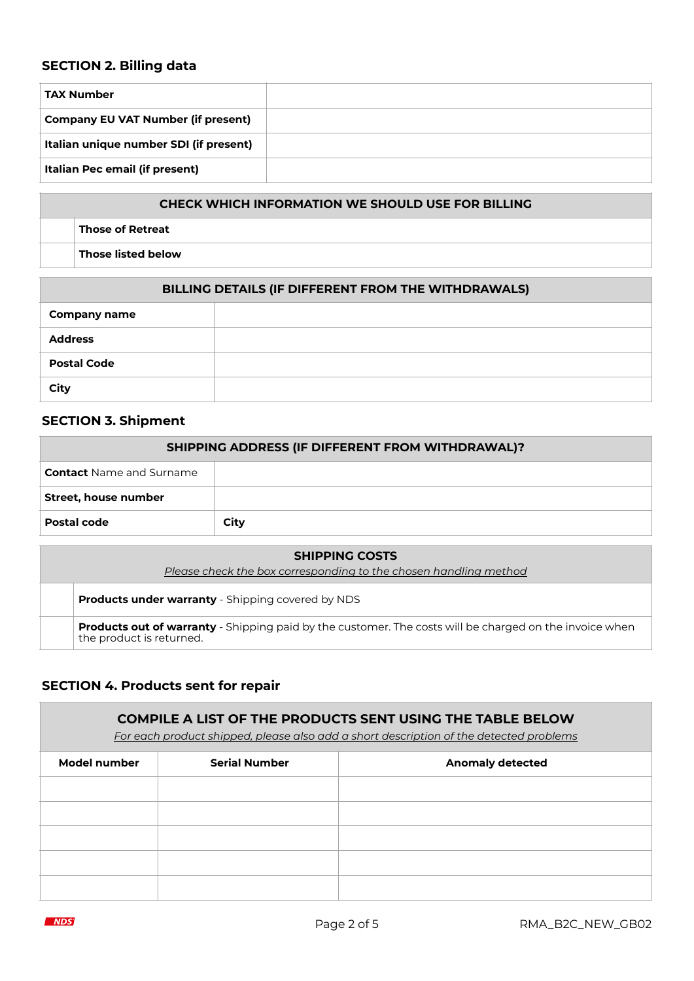# **SECTION 2. Billing data**

| <b>TAX Number</b>                         |  |
|-------------------------------------------|--|
| <b>Company EU VAT Number (if present)</b> |  |
| Italian unique number SDI (if present)    |  |
| Italian Pec email (if present)            |  |

# **CHECK WHICH INFORMATION WE SHOULD USE FOR BILLING**

**Those of Retreat**

**Those listed below**

| BILLING DETAILS (IF DIFFERENT FROM THE WITHDRAWALS) |  |  |  |
|-----------------------------------------------------|--|--|--|
| <b>Company name</b>                                 |  |  |  |
| <b>Address</b>                                      |  |  |  |
| <b>Postal Code</b>                                  |  |  |  |
| City                                                |  |  |  |

# **SECTION 3. Shipment**

| SHIPPING ADDRESS (IF DIFFERENT FROM WITHDRAWAL)? |      |  |  |  |
|--------------------------------------------------|------|--|--|--|
| <b>Contact</b> Name and Surname                  |      |  |  |  |
| Street, house number                             |      |  |  |  |
| Postal code                                      | City |  |  |  |

| <b>SHIPPING COSTS</b>                                            |                                                                                                                                            |  |
|------------------------------------------------------------------|--------------------------------------------------------------------------------------------------------------------------------------------|--|
| Please check the box corresponding to the chosen handling method |                                                                                                                                            |  |
|                                                                  | <b>Products under warranty</b> - Shipping covered by NDS                                                                                   |  |
|                                                                  | <b>Products out of warranty</b> - Shipping paid by the customer. The costs will be charged on the invoice when<br>the product is returned. |  |

# **SECTION 4. Products sent for repair**

| <b>COMPILE A LIST OF THE PRODUCTS SENT USING THE TABLE BELOW</b><br>For each product shipped, please also add a short description of the detected problems |                      |                         |  |  |  |
|------------------------------------------------------------------------------------------------------------------------------------------------------------|----------------------|-------------------------|--|--|--|
| Model number                                                                                                                                               | <b>Serial Number</b> | <b>Anomaly detected</b> |  |  |  |
|                                                                                                                                                            |                      |                         |  |  |  |
|                                                                                                                                                            |                      |                         |  |  |  |
|                                                                                                                                                            |                      |                         |  |  |  |
|                                                                                                                                                            |                      |                         |  |  |  |
|                                                                                                                                                            |                      |                         |  |  |  |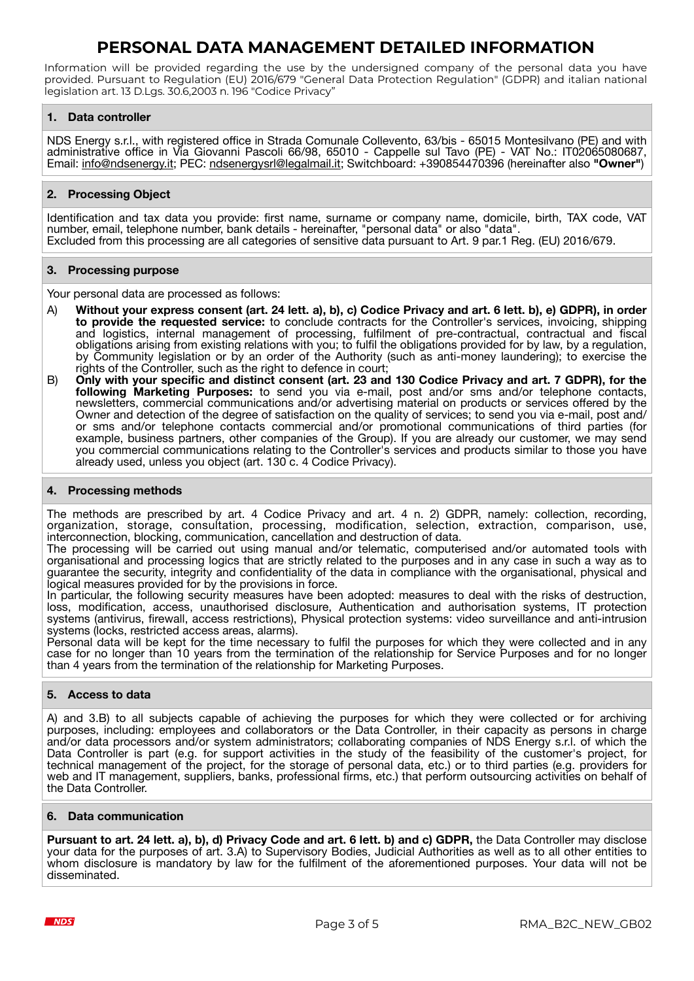# **PERSONAL DATA MANAGEMENT DETAILED INFORMATION**

Information will be provided regarding the use by the undersigned company of the personal data you have provided. Pursuant to Regulation (EU) 2016/679 "General Data Protection Regulation" (GDPR) and italian national legislation art. 13 D.Lgs. 30.6,2003 n. 196 "Codice Privacy"

## **1. Data controller**

NDS Energy s.r.l., with registered office in Strada Comunale Collevento, 63/bis - 65015 Montesilvano (PE) and with administrative office in Via Giovanni Pascoli 66/98, 65010 - Cappelle sul Tavo (PE) - VAT No.: IT02065080687, Email: [info@ndsenergy.it;](mailto:info@ndsenergy.it) PEC: [ndsenergysrl@legalmail.it](mailto:ndsenergysrl@legalmail.it); Switchboard: +390854470396 (hereinafter also "Owner")

## **2. Processing Object**

Identification and tax data you provide: first name, surname or company name, domicile, birth, TAX code, VAT number, email, telephone number, bank details - hereinafter, "personal data" or also "data". Excluded from this processing are all categories of sensitive data pursuant to Art. 9 par.1 Reg. (EU) 2016/679.

## **3. Processing purpose**

Your personal data are processed as follows:

- A) **Without your express consent (art. 24 lett. a), b), c) Codice Privacy and art. 6 lett. b), e) GDPR), in order to provide the requested service:** to conclude contracts for the Controller's services, invoicing, shipping and logistics, internal management of processing, fulfilment of pre-contractual, contractual and fiscal obligations arising from existing relations with you; to fulfil the obligations provided for by law, by a regulation, by Community legislation or by an order of the Authority (such as anti-money laundering); to exercise the rights of the Controller, such as the right to defence in court;
- B) **Only with your specific and distinct consent (art. 23 and 130 Codice Privacy and art. 7 GDPR), for the following Marketing Purposes:** to send you via e-mail, post and/or sms and/or telephone contacts, newsletters, commercial communications and/or advertising material on products or services offered by the Owner and detection of the degree of satisfaction on the quality of services; to send you via e-mail, post and/ or sms and/or telephone contacts commercial and/or promotional communications of third parties (for example, business partners, other companies of the Group). If you are already our customer, we may send you commercial communications relating to the Controller's services and products similar to those you have already used, unless you object (art. 130 c. 4 Codice Privacy).

## **4. Processing methods**

The methods are prescribed by art. 4 Codice Privacy and art. 4 n. 2) GDPR, namely: collection, recording, organization, storage, consultation, processing, modification, selection, extraction, comparison, use, interconnection, blocking, communication, cancellation and destruction of data.

The processing will be carried out using manual and/or telematic, computerised and/or automated tools with organisational and processing logics that are strictly related to the purposes and in any case in such a way as to guarantee the security, integrity and confidentiality of the data in compliance with the organisational, physical and logical measures provided for by the provisions in force.

In particular, the following security measures have been adopted: measures to deal with the risks of destruction, loss, modification, access, unauthorised disclosure, Authentication and authorisation systems, IT protection systems (antivirus, firewall, access restrictions), Physical protection systems: video surveillance and anti-intrusion systems (locks, restricted access areas, alarms).

Personal data will be kept for the time necessary to fulfil the purposes for which they were collected and in any case for no longer than 10 years from the termination of the relationship for Service Purposes and for no longer than 4 years from the termination of the relationship for Marketing Purposes.

## **5. Access to data**

A) and 3.B) to all subjects capable of achieving the purposes for which they were collected or for archiving purposes, including: employees and collaborators or the Data Controller, in their capacity as persons in charge and/or data processors and/or system administrators; collaborating companies of NDS Energy s.r.l. of which the Data Controller is part (e.g. for support activities in the study of the feasibility of the customer's project, for technical management of the project, for the storage of personal data, etc.) or to third parties (e.g. providers for web and IT management, suppliers, banks, professional firms, etc.) that perform outsourcing activities on behalf of the Data Controller.

### **6. Data communication**

**Pursuant to art. 24 lett. a), b), d) Privacy Code and art. 6 lett. b) and c) GDPR,** the Data Controller may disclose your data for the purposes of art. 3.A) to Supervisory Bodies, Judicial Authorities as well as to all other entities to whom disclosure is mandatory by law for the fulfilment of the aforementioned purposes. Your data will not be disseminated.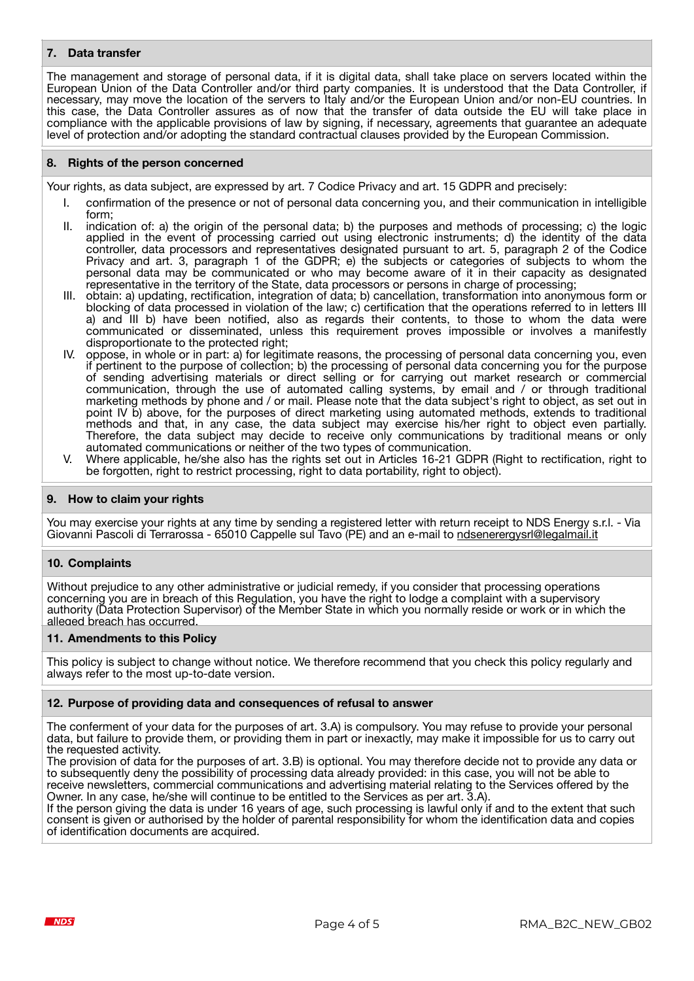### **7. Data transfer**

The management and storage of personal data, if it is digital data, shall take place on servers located within the European Union of the Data Controller and/or third party companies. It is understood that the Data Controller, if necessary, may move the location of the servers to Italy and/or the European Union and/or non-EU countries. In this case, the Data Controller assures as of now that the transfer of data outside the EU will take place in compliance with the applicable provisions of law by signing, if necessary, agreements that guarantee an adequate level of protection and/or adopting the standard contractual clauses provided by the European Commission.

### **8. Rights of the person concerned**

Your rights, as data subject, are expressed by art. 7 Codice Privacy and art. 15 GDPR and precisely:

- confirmation of the presence or not of personal data concerning you, and their communication in intelligible form;
- II. indication of: a) the origin of the personal data; b) the purposes and methods of processing; c) the logic applied in the event of processing carried out using electronic instruments; d) the identity of the data controller, data processors and representatives designated pursuant to art. 5, paragraph 2 of the Codice Privacy and art. 3, paragraph 1 of the GDPR; e) the subjects or categories of subjects to whom the personal data may be communicated or who may become aware of it in their capacity as designated representative in the territory of the State, data processors or persons in charge of processing;
- III. obtain: a) updating, rectification, integration of data; b) cancellation, transformation into anonymous form or blocking of data processed in violation of the law; c) certification that the operations referred to in letters III a) and III b) have been notified, also as regards their contents, to those to whom the data were communicated or disseminated, unless this requirement proves impossible or involves a manifestly disproportionate to the protected right;
- IV. oppose, in whole or in part: a) for legitimate reasons, the processing of personal data concerning you, even if pertinent to the purpose of collection; b) the processing of personal data concerning you for the purpose of sending advertising materials or direct selling or for carrying out market research or commercial communication, through the use of automated calling systems, by email and / or through traditional marketing methods by phone and / or mail. Please note that the data subject's right to object, as set out in point IV b) above, for the purposes of direct marketing using automated methods, extends to traditional methods and that, in any case, the data subject may exercise his/her right to object even partially. Therefore, the data subject may decide to receive only communications by traditional means or only automated communications or neither of the two types of communication.
- V. Where applicable, he/she also has the rights set out in Articles 16-21 GDPR (Right to rectification, right to be forgotten, right to restrict processing, right to data portability, right to object).

### **9. How to claim your rights**

You may exercise your rights at any time by sending a registered letter with return receipt to NDS Energy s.r.l. - Via Giovanni Pascoli di Terrarossa - 65010 Cappelle sul Tavo (PE) and an e-mail to [ndsenerergysrl@legalmail.it](mailto:ndsenerergysrl@legalmail.it)

### **10. Complaints**

Without prejudice to any other administrative or judicial remedy, if you consider that processing operations concerning you are in breach of this Regulation, you have the right to lodge a complaint with a supervisory authority (Data Protection Supervisor) of the Member State in which you normally reside or work or in which the alleged breach has occurred.

### **11. Amendments to this Policy**

This policy is subject to change without notice. We therefore recommend that you check this policy regularly and always refer to the most up-to-date version.

### **12. Purpose of providing data and consequences of refusal to answer**

The conferment of your data for the purposes of art. 3.A) is compulsory. You may refuse to provide your personal data, but failure to provide them, or providing them in part or inexactly, may make it impossible for us to carry out the requested activity.

The provision of data for the purposes of art. 3.B) is optional. You may therefore decide not to provide any data or to subsequently deny the possibility of processing data already provided: in this case, you will not be able to receive newsletters, commercial communications and advertising material relating to the Services offered by the Owner. In any case, he/she will continue to be entitled to the Services as per art. 3.A).

If the person giving the data is under 16 years of age, such processing is lawful only if and to the extent that such consent is given or authorised by the holder of parental responsibility for whom the identification data and copies of identification documents are acquired.